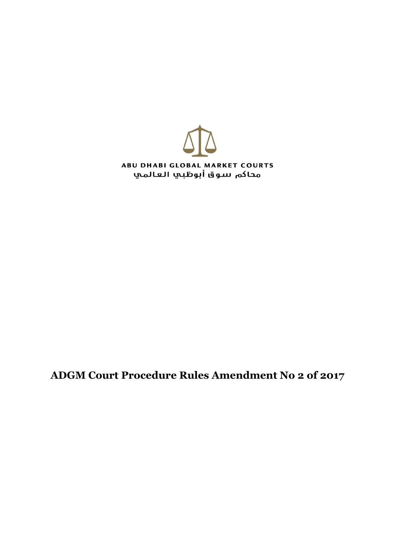

**ADGM Court Procedure Rules Amendment No 2 of 2017**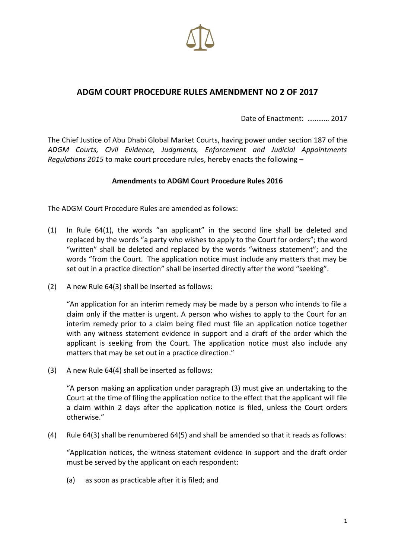

## **ADGM COURT PROCEDURE RULES AMENDMENT NO 2 OF 2017**

Date of Enactment: ………… 2017

The Chief Justice of Abu Dhabi Global Market Courts, having power under section 187 of the *ADGM Courts, Civil Evidence, Judgments, Enforcement and Judicial Appointments Regulations 2015* to make court procedure rules, hereby enacts the following –

## **Amendments to ADGM Court Procedure Rules 2016**

The ADGM Court Procedure Rules are amended as follows:

- (1) In Rule 64(1), the words "an applicant" in the second line shall be deleted and replaced by the words "a party who wishes to apply to the Court for orders"; the word "written" shall be deleted and replaced by the words "witness statement"; and the words "from the Court. The application notice must include any matters that may be set out in a practice direction" shall be inserted directly after the word "seeking".
- (2) A new Rule 64(3) shall be inserted as follows:

"An application for an interim remedy may be made by a person who intends to file a claim only if the matter is urgent. A person who wishes to apply to the Court for an interim remedy prior to a claim being filed must file an application notice together with any witness statement evidence in support and a draft of the order which the applicant is seeking from the Court. The application notice must also include any matters that may be set out in a practice direction."

(3) A new Rule 64(4) shall be inserted as follows:

"A person making an application under paragraph (3) must give an undertaking to the Court at the time of filing the application notice to the effect that the applicant will file a claim within 2 days after the application notice is filed, unless the Court orders otherwise."

(4) Rule 64(3) shall be renumbered 64(5) and shall be amended so that it reads as follows:

"Application notices, the witness statement evidence in support and the draft order must be served by the applicant on each respondent:

(a) as soon as practicable after it is filed; and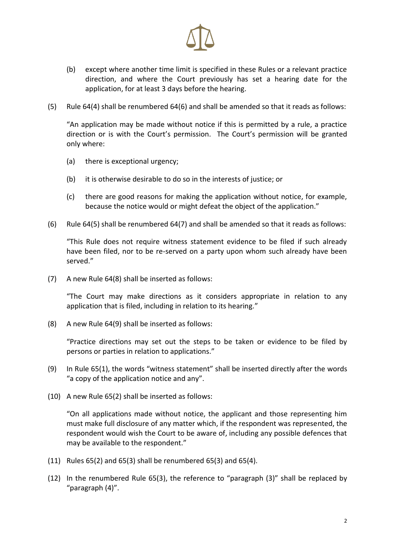

- (b) except where another time limit is specified in these Rules or a relevant practice direction, and where the Court previously has set a hearing date for the application, for at least 3 days before the hearing.
- (5) Rule 64(4) shall be renumbered 64(6) and shall be amended so that it reads as follows:

"An application may be made without notice if this is permitted by a rule, a practice direction or is with the Court's permission. The Court's permission will be granted only where:

- (a) there is exceptional urgency;
- (b) it is otherwise desirable to do so in the interests of justice; or
- (c) there are good reasons for making the application without notice, for example, because the notice would or might defeat the object of the application."
- (6) Rule 64(5) shall be renumbered 64(7) and shall be amended so that it reads as follows:

"This Rule does not require witness statement evidence to be filed if such already have been filed, nor to be re-served on a party upon whom such already have been served."

(7) A new Rule 64(8) shall be inserted as follows:

"The Court may make directions as it considers appropriate in relation to any application that is filed, including in relation to its hearing."

(8) A new Rule 64(9) shall be inserted as follows:

"Practice directions may set out the steps to be taken or evidence to be filed by persons or parties in relation to applications."

- (9) In Rule 65(1), the words "witness statement" shall be inserted directly after the words "a copy of the application notice and any".
- (10) A new Rule 65(2) shall be inserted as follows:

"On all applications made without notice, the applicant and those representing him must make full disclosure of any matter which, if the respondent was represented, the respondent would wish the Court to be aware of, including any possible defences that may be available to the respondent."

- (11) Rules 65(2) and 65(3) shall be renumbered 65(3) and 65(4).
- (12) In the renumbered Rule 65(3), the reference to "paragraph (3)" shall be replaced by "paragraph (4)".